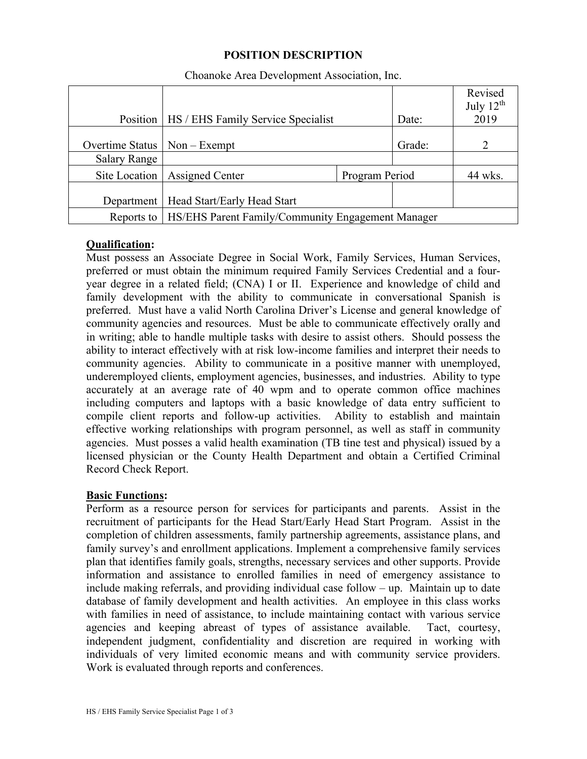## **POSITION DESCRIPTION**

|                                  | Position   HS / EHS Family Service Specialist                  |                | Date:  | Revised<br>July $12^{th}$<br>2019 |
|----------------------------------|----------------------------------------------------------------|----------------|--------|-----------------------------------|
| Overtime Status   Non $-$ Exempt |                                                                |                | Grade: |                                   |
| <b>Salary Range</b>              |                                                                |                |        |                                   |
|                                  | Site Location   Assigned Center                                | Program Period |        | 44 wks.                           |
| Department                       | Head Start/Early Head Start                                    |                |        |                                   |
|                                  | Reports to   HS/EHS Parent Family/Community Engagement Manager |                |        |                                   |

### Choanoke Area Development Association, Inc.

# **Qualification:**

Must possess an Associate Degree in Social Work, Family Services, Human Services, preferred or must obtain the minimum required Family Services Credential and a fouryear degree in a related field; (CNA) I or II. Experience and knowledge of child and family development with the ability to communicate in conversational Spanish is preferred. Must have a valid North Carolina Driver's License and general knowledge of community agencies and resources. Must be able to communicate effectively orally and in writing; able to handle multiple tasks with desire to assist others. Should possess the ability to interact effectively with at risk low-income families and interpret their needs to community agencies. Ability to communicate in a positive manner with unemployed, underemployed clients, employment agencies, businesses, and industries. Ability to type accurately at an average rate of 40 wpm and to operate common office machines including computers and laptops with a basic knowledge of data entry sufficient to compile client reports and follow-up activities. Ability to establish and maintain effective working relationships with program personnel, as well as staff in community agencies. Must posses a valid health examination (TB tine test and physical) issued by a licensed physician or the County Health Department and obtain a Certified Criminal Record Check Report.

### **Basic Functions:**

Perform as a resource person for services for participants and parents. Assist in the recruitment of participants for the Head Start/Early Head Start Program. Assist in the completion of children assessments, family partnership agreements, assistance plans, and family survey's and enrollment applications. Implement a comprehensive family services plan that identifies family goals, strengths, necessary services and other supports. Provide information and assistance to enrolled families in need of emergency assistance to include making referrals, and providing individual case follow – up. Maintain up to date database of family development and health activities. An employee in this class works with families in need of assistance, to include maintaining contact with various service agencies and keeping abreast of types of assistance available. Tact, courtesy, independent judgment, confidentiality and discretion are required in working with individuals of very limited economic means and with community service providers. Work is evaluated through reports and conferences.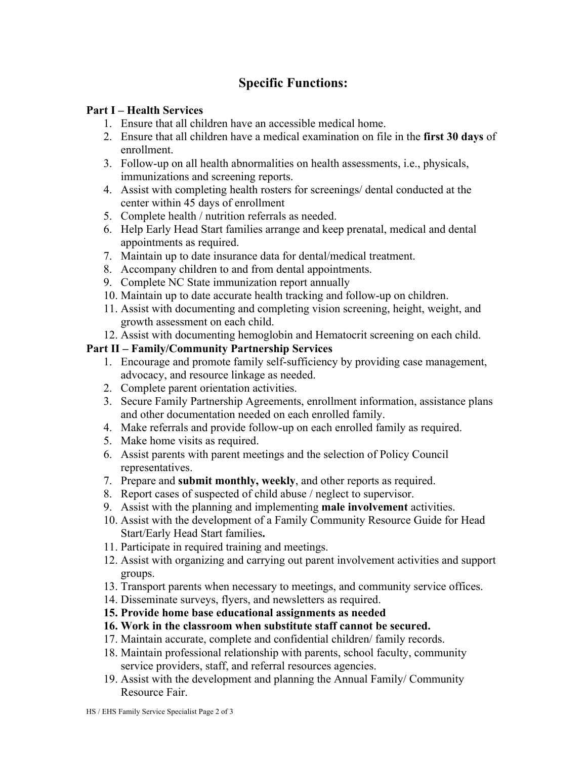# **Specific Functions:**

## **Part I – Health Services**

- 1. Ensure that all children have an accessible medical home.
- 2. Ensure that all children have a medical examination on file in the **first 30 days** of enrollment.
- 3. Follow-up on all health abnormalities on health assessments, i.e., physicals, immunizations and screening reports.
- 4. Assist with completing health rosters for screenings/ dental conducted at the center within 45 days of enrollment
- 5. Complete health / nutrition referrals as needed.
- 6. Help Early Head Start families arrange and keep prenatal, medical and dental appointments as required.
- 7. Maintain up to date insurance data for dental/medical treatment.
- 8. Accompany children to and from dental appointments.
- 9. Complete NC State immunization report annually
- 10. Maintain up to date accurate health tracking and follow-up on children.
- 11. Assist with documenting and completing vision screening, height, weight, and growth assessment on each child.
- 12. Assist with documenting hemoglobin and Hematocrit screening on each child.

# **Part II – Family/Community Partnership Services**

- 1. Encourage and promote family self-sufficiency by providing case management, advocacy, and resource linkage as needed.
- 2. Complete parent orientation activities.
- 3. Secure Family Partnership Agreements, enrollment information, assistance plans and other documentation needed on each enrolled family.
- 4. Make referrals and provide follow-up on each enrolled family as required.
- 5. Make home visits as required.
- 6. Assist parents with parent meetings and the selection of Policy Council representatives.
- 7. Prepare and **submit monthly, weekly**, and other reports as required.
- 8. Report cases of suspected of child abuse / neglect to supervisor.
- 9. Assist with the planning and implementing **male involvement** activities.
- 10. Assist with the development of a Family Community Resource Guide for Head Start/Early Head Start families**.**
- 11. Participate in required training and meetings.
- 12. Assist with organizing and carrying out parent involvement activities and support groups.
- 13. Transport parents when necessary to meetings, and community service offices.
- 14. Disseminate surveys, flyers, and newsletters as required.
- **15. Provide home base educational assignments as needed**
- **16. Work in the classroom when substitute staff cannot be secured.**
- 17. Maintain accurate, complete and confidential children/ family records.
- 18. Maintain professional relationship with parents, school faculty, community service providers, staff, and referral resources agencies.
- 19. Assist with the development and planning the Annual Family/ Community Resource Fair.